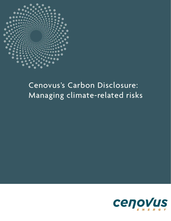

# Cenovus's Carbon Disclosure: Managing climate-related risks

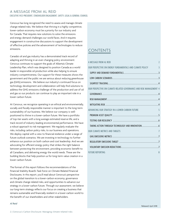## A MESSAGE FROM AL REID

EXECUTIVE VICE-PRESIDENT, STAKEHOLDER ENGAGEMENT, SAFETY, LEGAL & GENERAL COUNSEL

Cenovus has long recognized the need to assess and manage climate change related risks. We believe that thriving in a highly competitive, lower-carbon economy must be a priority for our industry and for Canada. That requires new solutions to solve the emissions and energy demand challenges our world faces. And it requires engagement in constructive discussions to support the development of effective policies and the advancement of technologies to reduce emissions.

Canada's oil and gas industry has a demonstrated track record of adapting and thriving in an ever-changing policy environment. Cenovus continues to support the goals of Alberta's Climate Leadership Plan, which was designed to position Canada as a world leader in responsible oil production while also helping to ensure industry competitiveness. Our support for these measures shows the government and the public we are serious about reducing greenhouse gas (GHG) emissions. We believe our industry's continued focus on technology development and collaboration will help find solutions to address the GHG emissions challenge of the production and use of oil and gas so our products can continue to play an important role in a lower-carbon future.

At Cenovus, we recognize operating in an ethical and environmentally, socially and fiscally responsible manner is important to the long-term sustainability of our business. We believe our company is wellpositioned to thrive in a lower-carbon future. We have a portfolio of top-tier assets with a long average estimated reserve life, and a track record of industry-leading environmental performance. We have a robust approach to risk management. We regularly evaluate the risks, including carbon policy risks, to our business and operations. We deploy capital with a view to financial resilience under a range of future outlook scenarios. We are investing in technology to further enhance our position on both carbon and cost leadership. And we are advocating for efficient energy policy that strikes the right balance between protecting the environment, providing economic benefit to all Canadians, and delivering energy the world needs. These are the building blocks that help position us for long-term value creation in a lower-carbon future.

The format of this report follows the recommendations of the Financial Stability Board's Task Force on Climate-Related Financial Disclosures. In this report, you'll read about Cenovus's perspective on the global transition to a lower-carbon economy, governance and climate change related risks, and opportunities to advance our strategy in a lower-carbon future. Through our assessment, we believe our long-term strategy reflects our focus on creating a business that remains sustainable and financially resilient in a lower-carbon world to the benefit of our shareholders and other stakeholders.

# **CONTENTS**

| A MESSAGE FROM AL REID                                              | $\overline{\phantom{a}}$ |
|---------------------------------------------------------------------|--------------------------|
| OUR PERSPECTIVE ON ENERGY FUNDAMENTALS AND CLIMATE POLICY           | $\overline{3}$           |
|                                                                     |                          |
|                                                                     |                          |
|                                                                     |                          |
| OUR PERSPECTIVE ON CLIMATE-RELATED GOVERNANCE AND RISK MANAGEMENT 4 |                          |
|                                                                     |                          |
|                                                                     |                          |
|                                                                     |                          |
| ADVANCING OUR STRATEGY IN A LOWER-CARBON FUTURE                     | 5                        |
|                                                                     |                          |
|                                                                     |                          |
|                                                                     |                          |
| <b>OUR CLIMATE METRICS AND TARGETS</b>                              | $\overline{1}$           |
|                                                                     |                          |
|                                                                     |                          |
| VOLUNTARY EMISSION REDUCTIONS <b>SECURE 2018</b>                    |                          |
| <b>FUTURE REPORTING</b>                                             | 8                        |

### Al Reid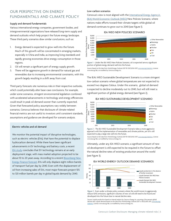# <span id="page-2-0"></span>OUR PERSPECTIVE ON ENERGY FUNDAMENTALS AND CLIMATE POLICY

### Supply and demand fundamentals

Various international energy companies, government bodies, and intergovernmental organizations have released long-term supply and demand outlooks which help project the future energy landscape. These third-party scenarios draw similar conclusions, such as:

- 1. Energy demand is expected to grow well into the future. Much of this growth will be concentrated in emerging markets, especially in China and India, as improving living standards and rapidly growing economies drive energy consumption in those regions.
- 2. Oil will remain a significant part of energy supply growth.
- 3. There will be aggressive growth in demand for natural gas and renewables due to increasing environmental constraints, with this growth largely resulting in a shift away from coal.

Third-party forecasts site numerous risks in their respective outlooks, which could potentially alter base-case conclusions. For example, under some scenarios, stringent environmental legislation combined with accelerated advancements in technology and energy efficiencies could result in peak oil demand sooner than currently expected. Given that forecasted policy assumptions vary widely between scenarios, Cenovus believes that disclosure of climate-related financial metrics are not useful to investors until consistent standards, assumptions and guidance are developed for scenario analysis.

### Electric vehicles and oil demand

We monitor the potential impact of disruptive technologies, such as electric vehicles (EVs), that have the potential to displace hydrocarbon demand. While there have been significant advancements in EV technology and battery costs, a recent [IEA study](https://www.iea.org/publications/freepublications/publication/GlobalEVOutlook2017.pdf) concludes that EV technology remains at an early deployment stage, with mass market adoption projected to be about 10 to 20 years away. According to a recent **Bloomberg New** [Energy Finance forecast](https://about.bnef.com/blog/electric-vehicles-accelerate-54-new-car-sales-2040/), EVs will only displace eight million barrels of transport fuel per day by 2040. Even with the displacement of oil from increasing sales of EVs, most major forecasts project 105 to 120 million barrels per day in global liquids demand by 2040.

### Low-carbon scenarios

Cenovus's view is most aligned with the International Energy Agency's [\(IEA\) World Economic Outlook \(WEO\)](https://www.iea.org/weo/weomodel/) New Policies Scenario, where nations make efforts toward their climate targets while global oil demand continues to grow out to 2040 (see Figure 1).

### IEA WEO NEW POLICIES SCENARIO



*Figure 1 –* Under the IEA WEO New Policies Scenario, oil is expected serve a significant portion of global energy demand well into the future.

Source: Based on IEA data from World Energy Outlook 2017 © OECD/IEA 2017, [www.iea.org/statistics](http://www.iea.org/statistics), License: www.iea.og/t&c; as modified by Cenovus Energy Inc.

The IEA's WEO Sustainable Development Scenario is a more stringent low-carbon scenario where global temperatures are not expected to exceed two degrees Celsius. Under this scenario, global oil demand is expected to decline moderately out to 2040, but will still meet a significant portion of global energy demand (see Figure 2).

### IEA WEO SUSTAINABLE DEVELOPMENT SCENARIO



*Figure 2 –* The IEA WEO Sustainable Development Scenario takes a more aggressive approach with the implementation of renewables and climate policies, yet oil is still expected to play a large role well into the future.

Source: Based on IEA data from World Energy Outlook 2017 © OECD/IEA 2017, [www.iea.org/statistics](http://www.iea.org/statistics), License: www.iea.og/t&c; as modified by Cenovus Energy Inc.

Ultimately, under any IEA WEO scenario, a significant amount of new oil development is still expected to be required in the future to offset the natural decline rates of existing production around the world (see Figure 3).



*Figure 3 -* Even under a climate policy scenario where the world moves to aggressively reduce GHG emissions, significant volumes of new oil will still need to be found and developed into the future due to natural decline rates.

Source: Liquids production based on internal analysis by Cenovus Energy Inc. assuming a five percent global decline rate; Liquids demand based on IEA data from World Energy Outlook 2017 © OECD/IEA 2017, www.iea [statistics](http://www.iea.org/statistics), License: www.iea.og/t&c; as modified by Cenovus Energy Inc.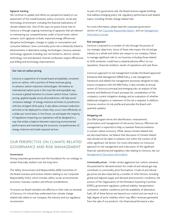### <span id="page-3-0"></span>Signpost tracking

We continue to update and refine our perspective based on our assessment of the overall business, policy, economic, social and technology environment, including the financial implications of climate-related risks. One of the ways we assess future risks to Cenovus is through ongoing monitoring of signposts that are relevant to maintaining our competitiveness under a future lower-carbon scenario. Such signposts include: improved energy efficiencies, disruptive technologies, changes in supply or consumption and consumer behavior. Since commodity price risk is inherently linked to advancements in alternative energy technologies, Cenovus assesses technology signposts including, but not limited to, electric vehicle technology cost and demand, internal combustion engine efficiencies, and drilling and technology improvements.

### Our view on carbon pricing

Cenovus is supportive of a broad-based and globally consistent price on carbon, with a portion of those revenues going to advance carbon-reduction technologies. We believe an international carbon price is the most fair and equitable way to ensure a global transition to a lower-carbon future. Carbon pricing, applied equally across all jurisdictions, will help avoid "emissions leakage" of energy-intensive activities to jurisdictions with less stringent GHG policy. It also allows emission-reduction activities to be deployed to where they occur most efficiently on a dollar per tonne basis. In the future, we anticipate the majority of regulations impacting our operations will be designed in a way that strikes a balance between improving environmental performance and maintaining the economic competitiveness of energy-intensive and trade-exposed sectors.

# OUR PERSPECTIVE ON CLIMATE-RELATED GOVERNANCE AND RISK MANAGEMENT

### Governance

Strong corporate governance sets the foundation for our strategy to remain financially resilient over the long-term.

The Safety, Environment and Responsibility (SER) Committee of the Board oversees and reviews matters relating to our Corporate Responsibility Policy which includes safety, social, environmental, economic, business conduct and ethical considerations.

To ensure our Board members are effective in their roles as stewards of Cenovus, it's critical they understand how climate change related risks relate to our company, the industry and our regulatory environment.

As part of its governance role, the Board receives regular briefings that address emerging policy risk, regulatory performance and related topics, including climate change related risks.

For more information, please read the corporate governance section of our [Corporate Responsibly Report](http://www.cenovus.com/reports/2016/governance) and our Management [Information Circular.](https://www.cenovus.com/invest/docs/2018/proxy-circular.pdf)

### Risk management

Cenovus is exposed to a number of risks through the pursuit of our strategic objectives. Some of these risks impact the oil and gas industry as a whole and others are unique to our company. Failure to manage significant risks to our business, including those related to GHG emissions, could have a material adverse effect on our reputation, financial condition, results of operations and cash flows.

Cenovus's approach to risk management includes the Board-approved Enterprise Risk Management (ERM) Policy, a risk management framework and related risk management processes designed to help ensure compliance with the ERM Policy. It also includes an annual review of Cenovus's principal and emerging risks, an analysis of the severity and likelihood of each principal risk, consideration of the company's current mitigation strategy and an evaluation of whether additional mitigation or treatment of the risk is required. In addition, Cenovus monitors its risk profile and provides the Board with quarterly updates.

### Mitigating risk

Our ERM program drives the identification, measurement, prioritization and management of risk across Cenovus. Effective risk management is expected to help us maintain financial resilience in a lower-carbon economy. While various climate-related risks are discussed below, we believe that discussion of climate-related risks should not be taken in isolation, but within the context of all other significant risk factors. For more information on Cenovus's approach to risk management and a discussion of the significant financial, operational and regulatory risks relating to Cenovus, see our [Management's Discussion and Analysis.](https://www.cenovus.com/invest/docs/2017/2017-managements-discussion-analysis.pdf)

*Commodity prices –* Under certain aggressive low-carbon scenarios, the potential for demand erosion for crude oil and natural gas may contribute to commodity price fluctuations. Crude oil and natural gas prices are also impacted by a number of other factors, including: global and regional supply and demand and economic conditions, the actions of the Organization of the Petroleum Exporting Countries (OPEC), government regulation, political stability, transportation constraints, weather conditions and the availability of alternative fuels. All of these factors are beyond our control and can result in a high degree of price volatility which may affect revenues generated from the sale of our products. Our financial performance is also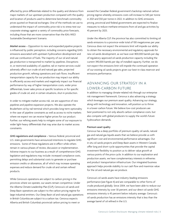<span id="page-4-0"></span>affected by price differentials related to the quality and distance from major markets of our upstream production compared with the quality and location of products used to determine benchmark commodity prices quoted on financial exchanges. One of the methods we use to understand the impact of commodity price risk is to stress-test our corporate strategy against a variety of commodity price forecasts, including those that are more conservative than the IEA's WEO Sustainable Development Scenario.

*Market access –* Opposition to new and expanded pipeline projects is influenced by public perception, including concerns regarding GHG emissions associated with upstream hydrocarbon development and end-use combustion of fuels. The majority of our oil and natural gas production is transported to market by pipelines. Disruptions in, or restricted availability of, pipeline, rail or marine services could adversely affect our crude oil and natural gas sales, projected production growth, refining operations and cash flows. Insufficient transportation capacity for our production may impact our ability to efficiently access end markets and negatively impact our financial performance by way of higher transportation costs, wider price differentials, lower sales prices at specific locations or for specific grades of crude oil, and, in certain situations, shut-in production.

In order to mitigate market access risk, we are supportive of new pipelines and pipeline expansion projects. We also operate the Bruderheim oil-by-rail terminal which provides long-term optionality in the case of pipeline constraints as well as access to niche markets where we expect we can receive higher prices for our product. Further, our refining assets help to mitigate some of our exposure to wider light-heavy differentials that may arise due to market access constraints.

*GHG regulations and compliance –* Various federal, provincial and U.S. state governments have announced intentions to regulate GHG emissions. Some of these regulations are in effect while others remain in various phases of review, discussion or implementation. Adverse impacts to our business as a result of comprehensive GHG legislation and regulations may include: increased compliance costs, permitting delays and substantial costs to generate or purchase emission credits or allowances, all of which may increase operating expenses and reduce demand for crude oil and certain refined products.

While Cenovus's operations are subject to carbon pricing in the provinces where we operate, our assets remain competitive. Under the Alberta Climate Leadership Plan (CLP), Cenovus's oil sands and Deep Basin operations are subject to the carbon pricing regime for large industrial emitters. Our Deep Basin oil and natural gas operations in British Columbia are subject to a carbon tax. Cenovus expects Alberta and British Columbia's provincial carbon pricing to meet or

exceed the Canadian federal government's backstop national carbon pricing regime whereby emissions costs will increase to \$40 per tonne in 2021 and \$50 per tonne in 2022. In addition to GHG emissions pricing, provincial and federal governments are expected to finalize measures to reduce methane emissions from oil and gas activities by 45 percent by 2025.

Under the Alberta CLP, the province has also committed to limiting oil sands emissions to a province-wide total of 100 megatonnes per year. Cenovus does not expect the emissions limit will impede our ability to obtain the necessary environmental and regulatory approvals for new oil sands development, as we have over 800,000 barrels per day of regulatory-approved oil sands production capacity including the current 390,000 barrels per day of installed capacity. Further, we do not expect the emissions limit will impede the continued operation of our existing oil sands projects given our best-in-class reservoir and emissions performance.

# ADVANCING OUR STRATEGY IN A LOWER-CARBON FUTURE

In addition to managing climate-related risk through our enterprise risk management framework, Cenovus is also advancing a strategy which leverages our premium asset quality. Advancing our strategy, along with technology and innovation, will position us to thrive in a lower-carbon future. We believe low-cost producers are best positioned to not only absorb carbon compliance costs, but also compete with global producers to supply the world's future hydrocarbon demands.

### Premium asset quality

Cenovus has a deep portfolio of premium-quality oil sands, natural gas and natural gas liquids assets that we believe provide us with significant cost and environmental performance advantages. Our in situ oil sands projects and Deep Basin assets in Western Canada offer long and short-cycle opportunities that provide the capital investment flexibility to position us to deliver value growth at various points of the price cycle. In addition to our exploration and production assets, we have complementary interests in refineries and product transportation infrastructure. Our integrated business approach helps provide stability to our cash flow and maximize value for the oil and natural gas we produce.

Cenovus's oil sands assets have industry-leading emissions performance (see Figure 4) and are comparable to other forms of crude produced globally. Since 2004, we have been able to reduce our emissions intensity by over 30 percent, and our direct oil sands GHG emissions intensity is 45 percent below industry average. Cenovus's oil sands production has an emissions intensity that is less than the average barrel of oil refined in the U.S.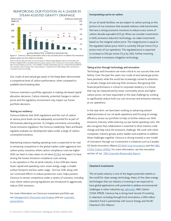### <span id="page-5-0"></span>REINFORCING OUR POSITION AS A LEADER IN STEAM-ASSISTED GRAVITY DRAINAGE



*Figure 4 -* Cenovus is best positioned in the in situ oil sands sector to deliver low-emissions projects given our low steam-to-oil ratio.

Our crude oil and natural gas assets in the Deep Basin demonstrate a competitive level of carbon performance, when compared to available benchmarking data.

Cenovus maintains a portfolio approach in making risk-based capital allocation decisions. Carbon intensity, potential changes in carbon prices and the regulatory environment may impact our future portfolio decisions.

### Testing our resiliency

Cenovus believes that GHG regulations and the cost of carbon at various price levels can be adequately accounted for as part of the business planning process. To mitigate uncertainty surrounding future emissions regulation, the Cenovus Leadership Team and Board regularly evaluate our development plans under a range of carbonconstrained scenarios.

Maintaining industry-leading operating costs is expected to be vital to remaining competitive in the global market under aggressive lowcarbon policy scenarios where carbon compliance costs are higher. With our best-in-class steam-to-oil ratios ([SORs](https://www.cenovus.com/news/glossary.html#sor)), we expect to have among the lowest emissions compliance costs among in situ operators in the oil sands industry. A low SOR also means lower capital and operating costs, lower energy usage, a smaller surface footprint and less water usage. Our low SOR, along with our continued efforts to reduce production costs, helps position Cenovus to remain competitive under a variety of scenarios, including ones where carbon pricing regulations are introduced to aggressively reduce GHG emissions.

For more information on Cenovus's investment portfolio see our [Management's Discussion and Analysis](https://www.cenovus.com/invest/docs/2017/2017-managements-discussion-analysis.pdf) and our [corporate](http://www.cenovus.com/invest/docs/corporate-update.pdf)  [presentation.](http://www.cenovus.com/invest/docs/corporate-update.pdf)

### Incorporating a price on carbon

At our oil sands facilities, we are subject to carbon pricing on the portion of our emissions that exceeds industry-wide benchmarks. We have a strong economic incentive to reduce every tonne of carbon dioxide equivalent (CO<sub>2</sub>e). When we consider investments in GHG emissions reduction technology, we make investments based on the marginal carbon price. The marginal price is equal to the regulated carbon price which is currently \$30 per tonne CO<sub>2</sub>e across most of our operations. The regulated price is expected to increase to \$50 per tonne CO<sub>2</sub>e by 2022, further incenting investment in emissions mitigation technology.

### Taking action through technology and innovation

Technology and innovation are more critical to our success than ever before. Over the past few years, low crude oil and natural gas prices have persisted, while the world has increasingly turned its attention to climate change and reducing GHG emissions. Recognizing that financial performance is critical to corporate resiliency in a future that may be characterized by lower commodity prices and higher carbon prices, we have responded to this dual challenge by working to significantly reduce both our cost structure and emissions intensity at our operations.

In the near term, we have been working on advancing solventaided processes at our oil sands operations and focusing on energy efficiency across our portfolio to help us further reduce our GHG emissions intensity while reducing our per-barrel operating costs. We also recognize that collaboration is essential to drive industry-wide change and help solve the emissions challenge. We work with other companies, industry groups, policy leaders and academia to address these challenges together. Cenovus is driving towards a new model of innovation through our involvement in initiatives such as Canada's Oil Sands Innovation Alliance ([COSIA\)](https://wwwcvetqa.cenovus.com/technology/cosia.html), [Evok Innovations](https://wwwcvetqa.cenovus.com/technology/evok-innovations.html) and the [NRG](https://wwwcvetqa.cenovus.com/technology/cosia-nrg-carbon-xprize.html)  [COSIA Carbon XPRIZE.](https://wwwcvetqa.cenovus.com/technology/cosia-nrg-carbon-xprize.html) For more information, see the innovation section of our [2016 Corporate Responsibly Report](http://www.cenovus.com/reports/2016/innovation/collaborating-to-improve-our-industry.html).

### Cleantech investments

The oil sands industry is one of the largest potential markets in the world for clean-energy technology. Many of the clean-energy technologies that our industry is investing in are expected to have global applications with potential to address environmental challenges in other industries e.g. [Saltworks](https://www.cenovus.com/technology/saltworks.html), NRG Carbon COSIA XPRIZE. Cenovus has a strong track record of investing in cleantech, including through Evok Innovations, a \$100 million cleantech fund in partnership with Suncor Energy and the BC Cleantech CEO Alliance.

Note: Production data and steam-to-oil ratio based on Alberta Energy Regulator data as of December 2017. Portfolio-weighted SOR is calculated based on project operator and is a measure of current project efficiency. Peers include Athabasca Oil Corp., ConocoPhillips, Canadian Natural Resources Ltd., Chinese National Offshore Oil Corporation, Devon Energy Corp., Husky Energy Inc., Imperial Oil Ltd., MEG Energy, Pacific Gas & Electric Corporation and Suncor Energy.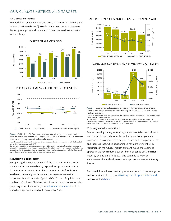### <span id="page-6-0"></span>OUR CLIMATE METRICS AND TARGETS

### GHG emissions metrics

We track both direct and indirect GHG emissions on an absolute and intensity basis (see Figure 5). We also track methane emissions (see Figure 6), energy use and a number of metrics related to innovation and efficiency.

DIRECT GHG EMISSIONS 7,000 6,540 5,945 6,000 5,564 5,431 4,657 4,950 (ilotonnes CO<sub>2</sub>E 4,381 4,689 Kilotonnes  $\mathsf{CO}_2\mathsf{E}$ 5,000 4,000 3,618 3,156 3,000 2,000 1,000  $\overline{0}$ 2012 2013 2014 2015 2016 COMPANY WIDE OIL SANDS

### DIRECT GHG EMISSIONS INTENSITY - OIL SANDS



*Figure 5 –* While direct GHG emissions have increased with production on an absolute basis, we continue to work on technologies that will result in reductions in GHG emissions intensity from our upstream oil and natural gas operations.

Note: This data includes conventional assets that have since been divested but does not include the Deep Basin conventional assets we acquired in 2017.

Our company-wide GHG emissions intensity increased in 2016 primarily due to two factors. First, our oil sands production increased both on an absolute basis and on a relative basis compared to our conventional oil and gas production, which is less carbon intensive. Second, the SOR at our oil sands operations was higher than normal due to the start-up of new phases at Foster Creek and Christina Lake.

#### Regulatory emissions target

Recognizing that over 80 percent of the emissions from Cenovus's operations in 2016 were directly exposed to a price on carbon, we have a strong economic incentive to reduce our GHG emissions. We have consistently outperformed our regulatory emissions requirements under Alberta's Specified Gas Emitters Regulation across our Foster Creek and Christina Lake oil sands operations. We are also preparing to meet a new target to [reduce methane emissions](http://www.cenovus.com/responsibility/environment/climate-change.html) from our oil and gas production by 45 percent by 2025.

#### METHANE EMISSIONS AND INTENSITY - COMPANY WIDE



### METHANE EMISSIONS AND INTENSITY - OIL SANDS



*Figure 6 –* Cenovus has made significant progress in reducing methane emissions and intensity on a company-wide basis. We are looking for further opportunities to reduce methane emissions.

Note: This data includes conventional assets that have since been divested but does not include the Deep Basin conventional assets we acquired in 2017.

We also undertook efforts to improve tracking of estimated oil sands venting volumes using approved methodologies. We aim to improve our management of methane emissions through a variety of technologies and recovery systems we have installed across our oil sands operations.

#### Voluntary emission reductions

Beyond meeting our regulatory targets, we have taken a continuous improvement approach to further reducing our total upstream emissions. This is expected to help us reduce GHG compliance costs and fuel gas usage, while positioning us for more stringent GHG regulations in the future. Through our continuous improvement approach, we have reduced our per-barrel oil sands GHG emissions intensity by one-third since 2004 and continue to work on technologies that will reduce our total upstream emissions intensity further.

For more information on metrics please see the emissions, energy use and air quality section of our [2016 Corporate Responsibility Report](http://www.cenovus.com/reports/2016/environment/emissions-energy-use-and-air-quality.html) and associated [data table.](http://www.cenovus.com/reports/2016/docs/2016-data-table.pdf)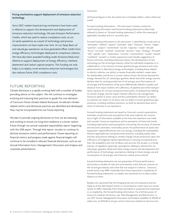### <span id="page-7-0"></span>Pricing mechanisms support deployment of emissions reduction technology

Since 2007, market-based pricing mechanisms have been used in Alberta to support the development and deployment of emissions reduction technology. We earn Emission Performance Credits, which are used to reduce compliance costs, at our oil sands operations as a result of technology and process improvements we have made over time. At our Deep Basin oil and natural gas operations we have generated offset credits from energy efficiency technologies deployed at compressor stations. We have also been awarded funding under Emissions Reduction Alberta to support deployment of energy efficiency, methane abatement and carbon capture projects. This funding not only helps us to deploy novel emissions reduction technologies but also reduces future GHG compliance costs.

### FUTURE REPORTING

Climate disclosure is a rapidly evolving field with a number of bodies providing advice on the subject. We will continue to investigate evolving and maturing best practices to guide the core elements of Cenovus's future climate-related disclosure. As relevant climaterelated metrics and disclosure practices are identified and developed, they may be incorporated into our future reporting.

We plan to provide ongoing disclosure on how we are assessing and working to ensure our long-term resilience in a lower-carbon future through our annual corporate responsibility report, beginning with the 2018 report. Through that report, we plan to continue to disclose emissions metrics and performance. Future reporting on financial metrics and progress made against financial targets will continue to be included in relevant financial disclosures, such as our Annual Information Form, Management's Discussion and Analysis and corporate presentations.

### Advisories

All financial figures in this document are in Canadian dollars, unless otherwise noted.

Forward-Looking Information – This document contains certain forward-looking information and forward-looking statements (collectively referred to herein as "forward-looking statements") within the meaning of applicable Canadian and U.S. securities laws.

Forward-looking information in this document is identified by words such as "anticipate", "believe", "expect", "estimate", "plan", "forecast", "future", "target", "position", "project", "committed", "can be", "capacity", "could", "should", "focus", "on track", "outlook", "potential", "priority", "may", "strategy", "forward", "will", "upside", "aim", "implication", "commit", "commitment", "would", "intend", "confident", "poised" or similar expressions and includes suggestions of future outcomes, including statements about: the development of new technology by the oil and gas industry, either by individual companies or in collaboration, or by Cenovus to lower greenhouse gas emissions and costs; advancements in alternative energy technologies, including those related to electric vehicles; our ability to remain financially resilient, create value for shareholders and thrive in a lower-carbon future; the future demand for energy; demand for oil, natural gas, gasoline, diesel and other energy sources; decline rates for existing production of oil and gas; price fluctuations of oil and gas and fluctuations of key price differentials related to quality and distance from major markets; the sufficiency of pipeline and other transportation capacity for oil; laws and government policy, including those relating to climate change, and the impact thereof; effective risk management; Cenovus's ability to lower costs and the sustainability thereof; our ability to maintain low steam to oil ratios; and our ability to lower greenhouse gas emissions, including methane emissions, on both an absolute basis and in terms of intensity in our operations.

Forward-looking statements are based on Cenovus's current expectations, estimates, projections and assumptions that were made by the corporation in light of information available at the time the statement was made and consider Cenovus's experience and its perception of historical trends, including expectations and assumptions concerning: the accuracy of reserves and resources estimates; commodity prices; the performance of assets and equipment; capital efficiencies and cost savings, including the sustainability thereof; applicable laws and government policies, including royalty rates, and laws and policies relating to climate change; future production rates; the sufficiency of budgeted capital expenditures in carrying out planned activities; the availability and cost of labour and services; the receipt, in a timely manner, of regulatory approvals; assumptions relating to demand for oil, natural gas, gasoline, diesel and other energy sources; the development and performance of technology; assumptions relating to future energy use and consumption of oil and gas; and Cenovus's carbon price outlook.

Forward-looking statements are not guarantees of future performance and involve a number of risks and uncertainties, some that are common to the oil and gas industry and some that are unique to Cenovus. Cenovus's actual results may differ materially from those expressed or implied by its forward-looking statements, so readers are cautioned not to place undue reliance on them.

Readers are cautioned that the foregoing lists are not exhaustive and are made as at the date hereof. Events or circumstances could cause our actual results to differ materially from those estimated or projected and expressed in, or implied by, the forward-looking information. For a full discussion of Cenovus's material risk factors, see "Risk Management and Risk Factors" in our 2017 Annual Management's Discussion and Analysis available on SEDAR at sedar.com, on EDGAR at sec.gov and on Cenovus's website at cenovus.com.